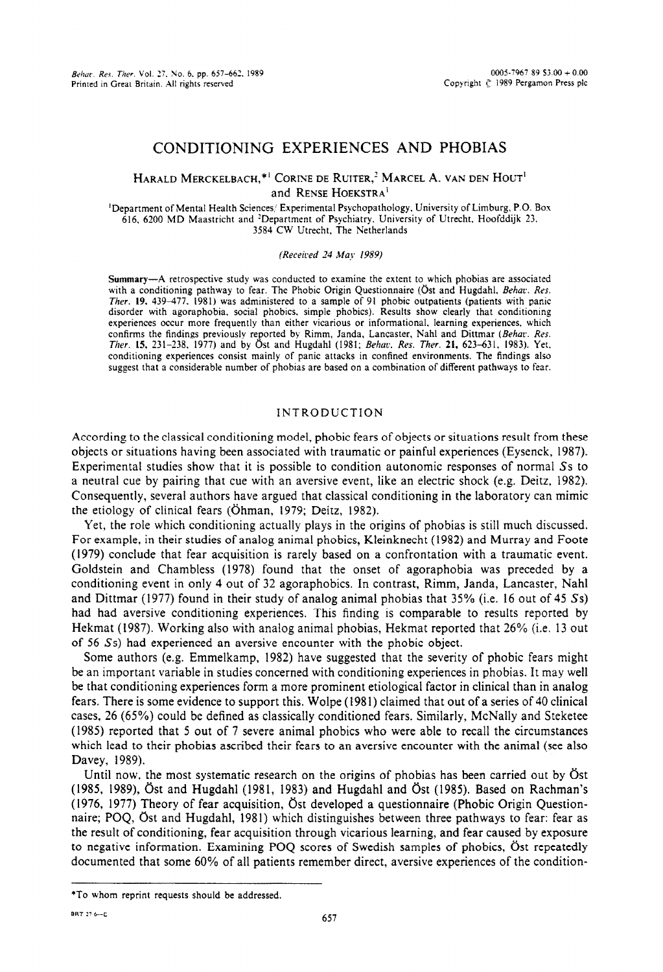# CONDITIONING EXPERIENCES AND PHOBIAS

# HARALD MERCKELBACH,\*' **CORIXE** DE RUJTER,' MARCEL A. **VAN DEN** HOC'T' and RENSE HOEKSTRA'

'Department of Mental Health Sciences,' Experimental Psychopathology, University of Limburg, P.O. Box 616. 6200 MD Maastricht and 'Department of Psychiatry. University of Utrecht, Hoofddijk 23, 3584 CW Utrecht, The Netherlands

(Received 24 May 1989)

Summary-A retrospective study was conducted to examine the extent to which phobias are associated with a conditioning pathway to fear. The Phobic Origin Questionnaire (Öst and Hugdahl, Behav. Res. Ther. 19, 439-477. 1981) was administered to a sample of 91 phobic outpatients (patients with panic disorder with agoraphobia. social phobics. simple phobics). Results show clearly that conditioning experiences occur more frequently than either vicarious or informational. learning experiences, which confirms the findings previously reported by Rimm, Janda, Lancaster, Nahl and Dittmar (Behav. Res. *Tber. 15,* 231-238, 1977) and by C)st and Hugdahl (1981: Behac. *Res. Ther.* 21, 623-631. 1983). Yet, conditioning experiences consist mainly of panic attacks in confined environments. The findings also suggest that a considerable number of phobias are based on a combination of different pathways to fear.

# INTRODUCTION

According to the classical conditioning model, phobic fears of objects or situations result from these objects or situations having been associated with traumatic or painful experiences (Eysenck, 1987). Experimental studies show that it is possible to condition autonomic responses of normal Ss to a neutral cue by pairing that cue with an aversive event, like an electric shock (e.g. Deitz, 1982). Consequently, several authors have argued that classical conditioning in the laboratory can mimic the etiology of clinical fears (Öhman, 1979; Deitz, 1982).

Yet, the role which conditioning actually plays in the origins of phobias is still much discussed. For example, in their studies of analog animal phobics, Kleinknecht (1982) and Murray and Foote (1979) conclude that fear acquisition is rarely based on a confrontation with a traumatic event. Goldstein and Chambless (1978) found that the onset of agoraphobia was preceded by a conditioning event in only 4 out of 32 agoraphobics. In contrast, Rimm, Janda, Lancaster, Nahl and Dittmar (1977) found in their study of analog animal phobias that 35% (i.e. 16 out of 45 Ss) had had aversive conditioning experiences. This finding is comparable to results reported by Hekmat (1987). Working also with anaiog animal phobias, Hekmat reported that 26% (i.e. I3 out of 56 Ss) had experienced an aversive encounter with the phobic object.

Some authors (e.g. Emmelkamp, 1982) have suggested that the severity of phobic fears might be an important variable in studies concerned with conditioning experiences in phobias. It may well be that conditioning experiences form a more prominent etiological factor in clinical than in analog fears. There is some evidence to support this. Wolpe (1981) claimed that out of a series of 40 clinical cases, 26 (65%) could be defined as classically conditioned fears. Similarly, McNally and Steketee (I985) reported that 5 out of 7 severe animal phobics who were able to recall the circumstances which lead to their phobias ascribed their fears to an aversive encounter with the animal (see also Davey, 1989).

Until now, the most systematic research on the origins of phobias has been carried out by Ost (1985, 1989), Öst and Hugdahl (1981, 1983) and Hugdahl and Öst (1985). Based on Rachman's (1976, 1977) Theory of fear acquisition, bst developed a questionnaire (Phobic Origin Questionnaire; POQ, Öst and Hugdahl, 1981) which distinguishes between three pathways to fear: fear as the result of conditioning, fear acquisition through vicarious learning, and fear caused by exposure to negative information. Examining POQ scores of Swedish samples of phobics, Öst repeatedly documented that some 60% of all patients remember direct, aversive experiences of the condition-

<sup>\*</sup>To whom reprint requests should be addressed.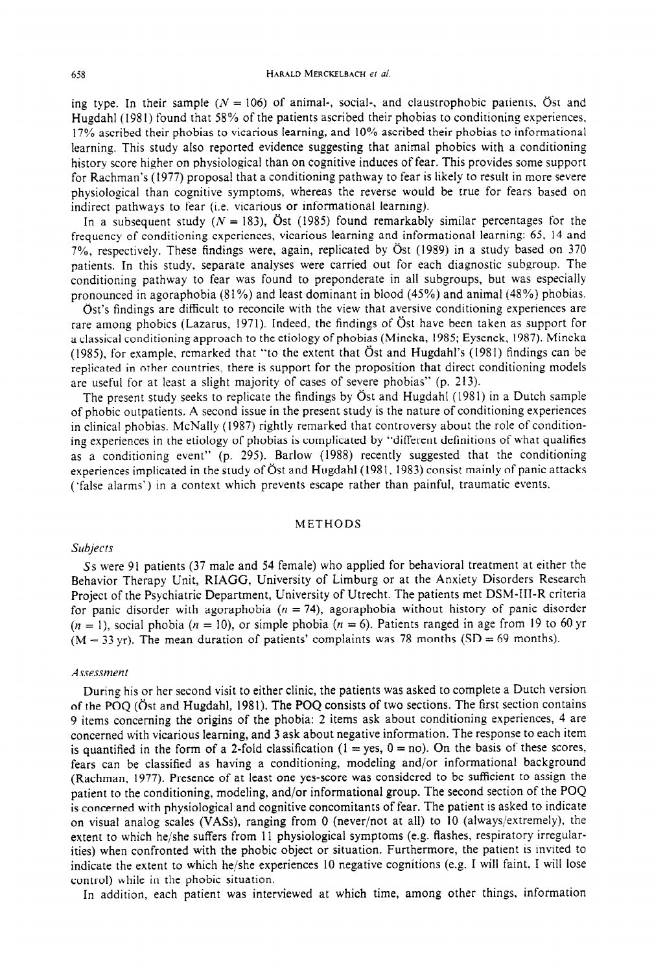ing type. In their sample ( $N = 106$ ) of animal-, social-, and claustrophobic patients,  $\ddot{\text{o}}$ st and Hugdahl (1981) found that 58% of the patients ascribed their phobias to conditioning experiences. 17% ascribed their phobias to vicarious Iearning, and 10% ascribed their phobias to informational learning. This study aiso reported evidence suggesting that animal phobics with a conditioning history score higher on physioIogica1 than on cognitive induces of fear. This provides some support for Rachman's (1977) proposal that a conditioning pathway to fear is likely to result in more severe physiological than cognitive symptoms, whereas the reverse would be true for fears based on indirect pathways to fear (i.e. vicarious or informational learning).

In a subsequent study ( $N = 183$ ), Öst (1985) found remarkably similar percentages for the frequency of conditioning experiences, vicarious learning and informational learning: 65, 14 and 7%, respectively. These findings were, again, replicated by Öst (1989) in a study based on 370 patients. In this study, separate analyses were carried out for each diagnostic subgroup. The conditioning pathway to fear was found to preponderate in all subgroups, but was especially pronounced in agoraphobia (8 1%) and least dominant in blood (45%) and animal (45%) phobias.

Öst's findings are difficult to reconcile with the view that aversive conditioning experiences are rare among phobics (Lazarus, 1971). Indeed, the findings of Öst have been taken as support for a classical conditioning approach to the etiology of phobias (Mineka, 1985; Eysenck, 1987). Mineka (1985), for example, remarked that "to the extent that  $\ddot{O}$ st and Hugdahl's (1981) findings can be replicated in other countries, there is support for the proposition that direct conditioning models are useful for at least a slight majority of cases of severe phobias" (p. 213).

The present study seeks to replicate the findings by Öst and Hugdahl (1981) in a Dutch sample of phobic outpatients. A second issue in the present study is the nature of conditioning experiences in clinical phobias. McNally (1987) rightly remarked that controversy about the role of conditioning experiences in the etiology of phobias is complicated by "different definitions of what qualifies as a conditioning event" (p. 295). Barlow (1988) recently suggested that the conditioning experiences implicated in the study of Öst and Hugdahl (1981, 1983) consist mainly of panic attacks ('false aIarms') in a context which prevents escape rather than painful, traumatic events.

#### METHODS

# *Subjects*

*Ss* were 91 patients (37 male and 54 female) who applied for behavioral treatment at either the Behavior Therapy Unit, RIAGG, University of Limburg or at the Anxiety Disorders Research Project of the Psychiatric Department, University of Utrecht. The patients met DSM-III-R criteria for panic disorder with agoraphobia  $(n = 74)$ , agoraphobia without history of panic disorder  $(n = 1)$ , social phobia  $(n = 10)$ , or simple phobia  $(n = 6)$ . Patients ranged in age from 19 to 60 yr  $(M = 33 \text{ yr})$ . The mean duration of patients' complaints was 78 months (SD = 69 months).

#### *Assessrnen* t

During his or her second visit to either clinic, the patients was asked to complete a Dutch version of the POQ (Öst and Hugdahl, 1981). The POQ consists of two sections. The first section contains 9 items concerning the origins of the phobia: 2 items ask about conditioning experiences, 4 are concerned with vicarious learning, and 3 ask about negative information. The response to each item is quantified in the form of a 2-fold classification  $(1 = yes, 0 = no)$ . On the basis of these scores, fears can be classified as having a conditioning, modeling and/or informational background (Rachman. 1977). Presence of at least one yes-score was considered to be sufficient to assign the patient to the conditioning, modeling, and/or informational group. The second section of the POQ is concerned with physiological and cognitive concomitants of fear. The patient is asked to indicate on visual analog scales (VASs), ranging from 0 (never/not at all) to 10 (always/extremely), the extent to which he/she suffers from 11 physiological symptoms (e.g. flashes, respiratory irregularities) when confronted with the phobic object or situation. Furthermore, the patient is invited to indicate the extent to which he/she experiences 10 negative cognitions (e.g. I will faint. I will lose control) while in the phobic situation.

In addition, each patient was interviewed at which time, among other things, information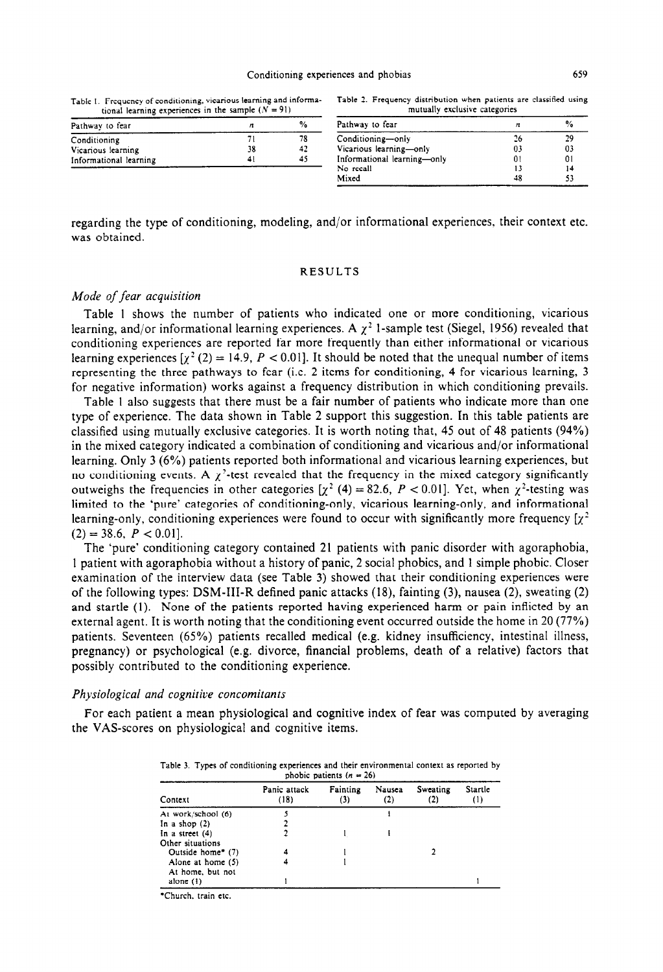Table I. Frequency of conditioning, vicarious learning and informational learning experiences in the sample  $(N = 91)$ 

|                               |  |  | Table 2. Frequency distribution when patients are classified using |  |  |  |  |  |  |
|-------------------------------|--|--|--------------------------------------------------------------------|--|--|--|--|--|--|
| mutually exclusive categories |  |  |                                                                    |  |  |  |  |  |  |

| Pathway to fear        |    | %  | Pathway to fear             |    | $\%$ |
|------------------------|----|----|-----------------------------|----|------|
| Conditioning           |    | 78 | Conditioning-only           |    | 29   |
| Vicarious learning     | 38 | 42 | Vicarious learning-only     | 03 | 03   |
| Informational learning | 41 | 45 | Informational learning-only | 01 | 01   |
|                        |    |    | No recall                   |    |      |
|                        |    |    | Mixed                       | 48 | 53   |

regarding the type of conditioning, modeling, and/or informational experiences, their context etc. was obtained.

#### RESULTS

# *Mode of fear acquisition*

Table 1 shows the number of patients who indicated one or more conditioning, vicarious learning, and/or informational learning experiences. A  $\chi^2$  1-sample test (Siegel, 1956) revealed that conditioning experiences are reported far more frequently than either informational or vicarious learning experiences  $\left[\chi^2(2) = 14.9, P < 0.01\right]$ . It should be noted that the unequal number of items representing the three pathways to fear (i.e. 2 items for conditioning, 4 for vicarious learning, 3 for negative information) works against a frequency distribution in which conditioning prevails.

Table 1 also suggests that there must be a fair number of patients who indicate more than one type of experience. The data shown in Table 2 support this suggestion. In this table patients are classified using mutually exclusive categories. It is worth noting that, 45 out of 48 patients (94%) in the mixed category indicated a combination of conditioning and vicarious and/or informational learning. Only 3 (6%) patients reported both informational and vicarious learning experiences, but no conditioning events. A  $\chi^2$ -test revealed that the frequency in the mixed category significantly outweighs the frequencies in other categories  $[\chi^2(4) = 82.6, P < 0.01]$ . Yet, when  $\chi^2$ -testing was limited to the 'pure' categories of conditioning-only, vicarious learning-only, and informational learning-only, conditioning experiences were found to occur with significantly more frequency  $[x^2]$  $(2) = 38.6, P < 0.01$ .

The 'pure' conditioning category contained 21 patients with panic disorder with agoraphobia, 1 patient with agoraphobia without a history of panic, 2 social phobics, and 1 simple phobic. Closer examination of the interview data (see Table 3) showed that their conditioning experiences were of the following types: DSM-III-R defined panic attacks (18), fainting (3), nausea (2) sweating (2) and startle (1). None of the patients reported having experienced harm or pain inflicted by an external agent. It is worth noting that the conditioning event occurred outside the home in 20 (77%) patients. Seventeen (65%) patients recalled medical (e.g. kidney insufficiency, intestinal illness, pregnancy) or psychological (e.g. divorce, financial problems, death of a relative) factors that possibly contributed to the conditioning experience.

### *Physiological and cognitive concomitants*

For each patient a mean physiological and cognitive index of fear was computed by averaging the VAS-scores on physiological and cognitive items.

| phobic patients $(n = 26)$ |                      |                 |               |                 |                             |
|----------------------------|----------------------|-----------------|---------------|-----------------|-----------------------------|
| Context                    | Panic attack<br>(18) | Fainting<br>(3) | Nausea<br>(2) | Sweating<br>(2) | Startle<br>$\left(1\right)$ |
| At work/school (6)         |                      |                 |               |                 |                             |
| In a shop $(2)$            |                      |                 |               |                 |                             |
| In a street $(4)$          |                      |                 |               |                 |                             |
| Other situations           |                      |                 |               |                 |                             |
| Outside home* (7)          |                      |                 |               |                 |                             |
| Alone at home $(5)$        |                      |                 |               |                 |                             |
| At home, but not           |                      |                 |               |                 |                             |
| alone (1)                  |                      |                 |               |                 |                             |

Table 3. Types of conditioning experiences and their environmental context as reported by

\*Church. train etc.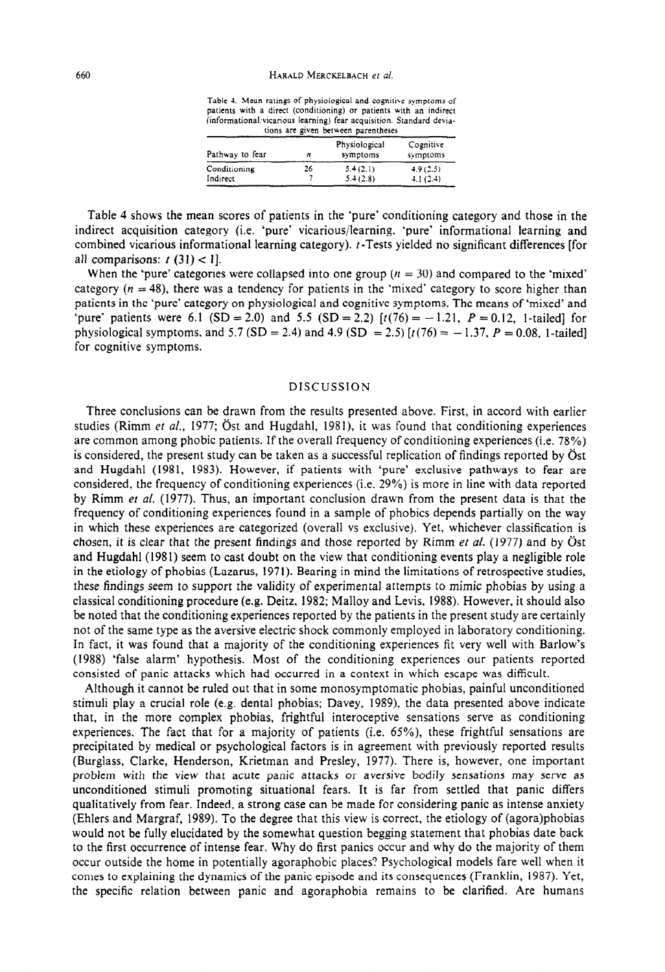Table 4. Mean ratings of physiological and cognitive symptoms of patients with a direct (conditioning) or patients with an indirect (informational~vtcanous learning) fear acquisition. Standard dewa-

|                 |    | tions are given between parentheses |                       |
|-----------------|----|-------------------------------------|-----------------------|
| Pathway to fear | n  | Physiological<br>symptoms           | Cognitive<br>symptoms |
| Conditioning    | 26 | 5.4(2.1)                            | 4.9(2.5)              |
| Indirect        |    | 5.4(2.8)                            | 4.1(2.4)              |

Table 4 shows the mean scores of patients in the 'pure' conditioning category and those in the indirect acquisition category (i.e. 'pure' vicarious/learning. 'pure' informational learning and combined vicarious informational learning category). t-Tests yiefded no significant differences [for all comparisons:  $t(31) < 1$ .

When the 'pure' categories were collapsed into one group ( $n = 30$ ) and compared to the 'mixed' category ( $n = 48$ ), there was a tendency for patients in the 'mixed' category to score higher than patients in the 'pure' category on physiological and cognitive symptoms. The means of 'mixed' and 'pure' patients were 6.1 (SD = 2.0) and 5.5 (SD = 2.2)  $[t(76) = -1.21, P = 0.12, 1-tailed]$  for physiological symptoms, and 5.7 (SD = 2.4) and 4.9 (SD = 2.5)  $[t(76) = -1.37, P = 0.08, 1-tailed]$ for cognitive symptoms.

## **DISCUSSION**

Three conclusions can be drawn from the results presented above. First, in accord with earlier studies (Rimm *et al.,* 1977; Öst and Hugdahl, 1981), it was found that conditioning experiences are common among phobic patients. If the overall frequency of conditioning experiences (i.e. 78%) is considered, the present study can be taken as a successful replication of findings reported by  $\ddot{\text{O}}$ st and Hugdahl (1981, 1983). However, if patients with 'pure' exclusive pathways to fear are considered, the frequency of conditioning experiences (i.e. 29%) is more in line with data reported by Rimm *et ai.* (1977). Thus, an important conclusion drawn from the present data is that the frequency of conditioning experiences found in a sample of phobics depends partially on the way in which these experiences are categorized (overall vs exclusive). Yet, whichever classification is chosen, it is clear that the present findings and those reported by Rimm et al. (1977) and by  $\ddot{O}$ st and Hugdahl (1981) seem to cast doubt on the view that conditioning events play a negligible role in the etiology of phobias (Lazarus, 1971). Bearing in mind the limitations of retrospective studies, these findings seem to support the validity of experimental attempts to mimic phobias by using a classical conditioning procedure (e.g. Deitz, 1982; Malloy and Levis, 1988). However, it should also be noted that the conditioning experiences reported by the patients in the present study are certainly not of the same type as the aversive electric shock commonly employed in laboratory conditioning. In fact, it was found that a majority of the conditioning experiences fit very well with Barlow's (1988) 'false alarm' hypothesis. Most of the conditioning experiences our patients reported consisted of panic attacks which had occurred in a context in which escape was difficult.

Although it cannot be ruled out that in some monosymptomatic phobias, painfui unconditioned stimuli play a crucial role (e.g. dental phobias; Davey, 1989), the data presented above indicate that, in the more complex phobias, frightful interoceptive sensations serve as conditioning experiences, The fact that for a majority of patients {i.e. 65%), these frightful sensations are precipitated by medical or psychological factors is in agreement with previously reported results (Burglass, Clarke, Henderson, Krietman and Presley, 1977). There is, however, one important problem with the view that acute panic attacks or aversive bodily sensations may serve as unconditioned stimuli promoting situational fears. It is far from settled that panic differs qualitatively from fear. Indeed, a strong case can be made for considering panic as intense anxiety (Ehlers and Margraf, 1989). To the degree that this view is correct, the etiology of (agora)phobias would not be fully elucidated by the somewhat question begging statement that phobias date back to the first occurrence of intense fear. Why do first panics occur and why do the majority of them occur outside the home in potentially agoraphobic places? Psychological models fare well when it comes to explaining the dynamics of the panic episode and its consequences (Franklin, 1987). Yet, the specific relation between panic and agoraphobia remains to be clarified. Are humans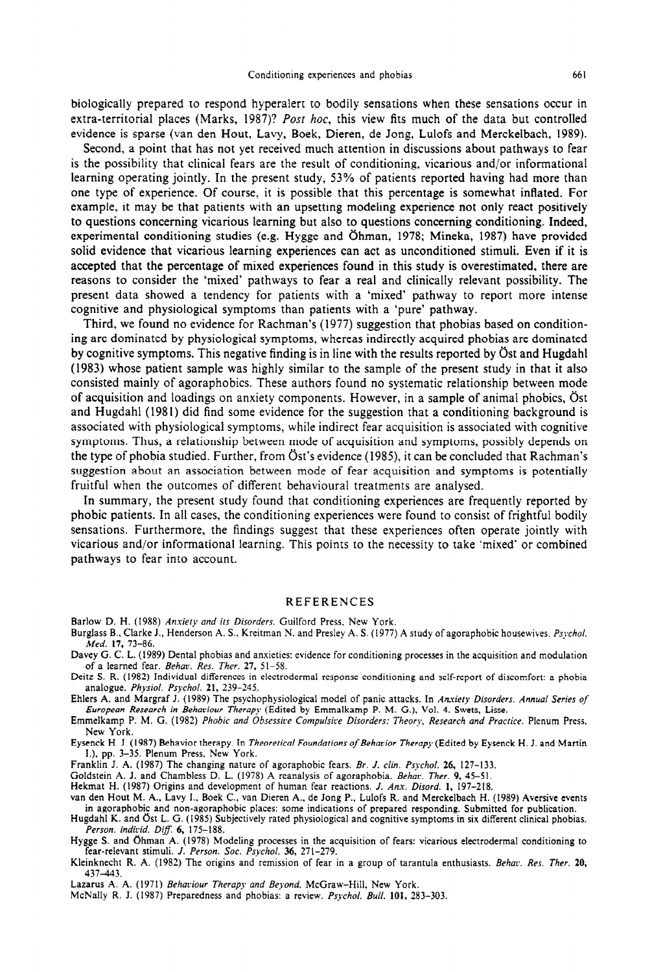biologically prepared to respond hyperalert to bodily sensations when these sensations occur in extra-territorial places (Marks, 1987)? *Post hoc,* this view fits much of the data but controlled evidence is sparse (van den Hour, Lavy, Boek, Dieren, de Jong, Lulofs and Merckelbach, 1989).

Second, a point that has not yet received much attention in discussions about pathways to fear is the possibitity that clinical fears are the result of conditioning, vicarious and/or informationa learning operating jointly. In the present study, 53% of patients reported having had more than one type of experience. Of course, it is possible that this percentage is somewhat inflated. For example, it may be that patients with an upsetting modeling experience not only react positively to questions concerning vicarious learning but also to questions concerning conditioning. Indeed, experimental conditioning studies (e.g. Hygge and Öhman, 1978; Mineka, 1987) have provided solid evidence that vicarious learning experiences can act as unconditioned stimuli. Even if it is accepted that the percentage of mixed experiences found in this study is overestimated, there are reasons to consider the 'mixed' pathways to fear a real and clinically relevant possibility. The present data showed a tendency for patients with a 'mixed' pathway to report more intense cognitive and physiological symptoms than patients with a 'pure' pathway.

Third, we found no evidence for Rachman's (1977) suggestion that phobias based on conditioning are dominated by physiological symptoms, whereas indirectly acquired phobias are dominated by cognitive symptoms. This negative finding is in line with the results reported by Ost and Hugdahl (1983) whose patient sample was highly similar to the sample of the present study in that it also consisted mainly of agoraphobics. These authors found no systematic relationship between mode of acquisition and loadings on anxiety components. However, in a sample of animal phobics, Öst and Hugdahl (1981) did find some evidence for the suggestion that a conditioning background is associated with physiological symptoms, while indirect fear acquisition is associated with cognitive symptoms. Thus, a relationship between mode of acquisition and symptoms, possibly depends on the type of phobia studied. Further, from Ost's evidence (1985), it can be concluded that Rachman's suggestion about an association between mode of fear acquisition and symptoms is potentially fruitful when the outcomes of different behavioural treatments are analysed.

In summary, the present study found that conditioning experiences are frequently reported by phobic patients. In all cases, the conditioning experiences were found to consist of frightful bodily sensations. Furthermore, the findings suggest that these experiences often operate jointly with vicarious and/or informational Iearning. This points to the necessity to take 'mixed' or combined pathways to fear into account.

### REFERENCES

Barlow D. H. (1988) Anxiety and its Disorders. Guilford Press, New York.

- Burglass B., Clarke J., Henderson A. S., Kreitman N. and Presley A. S. (1977) A study of agoraphobic housewives. *Psycl Med. 17, 73-86.*
- Davey G. C. L. (1989) Dental phobias and anxieties: evidence for conditioning processes in the acquisition and modulation of a learned fear. *Behav. Res. Ther.* 27, 51-58.
- Deitz S. R. (1982) individual differences in electrodermal response conditioning and self-report of discomfort: a phobia analogue. *Physioi. Psyhot. 21, 239-245.*
- Ehlers A. and Margraf J. (1989) The psychophysioiogical model of panic attacks. In *Anxiety Disorders. Annual Series of European Research in Behmiour Therapy* (Edited by Emmalkamp P. M. G.), Vat. 4. Swets, Lisse,

Emmelkamp P. M. G. (1982) Phobic and Obsessive Compulsive Disorders: Theory. Research and Practice. Plenum Press. New York.

Eysenck H. J. (1987) Behavior therapy. In *Theoreriral Foundafions of Behavior Therapy* (Edited by Eysenck H. J. and Martin I.), pp. 3-35. Plenum Press, New York.

Franklin J. A. (1987) The changing nature of agoraphobic fears. Br. J. *clin. Psyhoi. 26, 127-133.* 

Goldstein A. J. and Chambless D. L. (1978) A reanalysis of agoraphobia. Behac. *Ther. 9, 45-51.* 

Hekmat H. (1987) Origins and development of human fear reactions. 1. Anx. *Disord. 1, 197-218.* 

van den Hout M. A., Lavy I., Boek C., van Dieren A., de Jong P., Lulofs R. and Merckelbach H. (1989) Aversive events in agoraphobic and non-agoraphobic places: some indications of prepared responding. Submitted for publication.

Hugdahi K. and C)st L. G. (1985) Subjectively rated physioiogical and cognitive symptoms in six different clinical phobias. *Person. indicid. Dig: 6, 175-188.* 

Hygge S. and Ghman A. (1978) Modeling processes in the acquisition of fears: vicarious electrodermal conditioning to fear-relevant stimuli. J. *Person. Sot. Psychoi. 36, 271-279.* 

- Kleinknecht R. A. (1982) The origins and remission of fear in a group of tarantula enthusiasts. *Behac. Res. Ther. 20, 437-443.*
- Lazarus A. A. (1971) *Behaviour Therapy and Beyond*. McGraw-Hill, New York.
- McNally R. J. (1987) Preparedness and phobias: a review. Psychol. Bull. 101, 283-303.